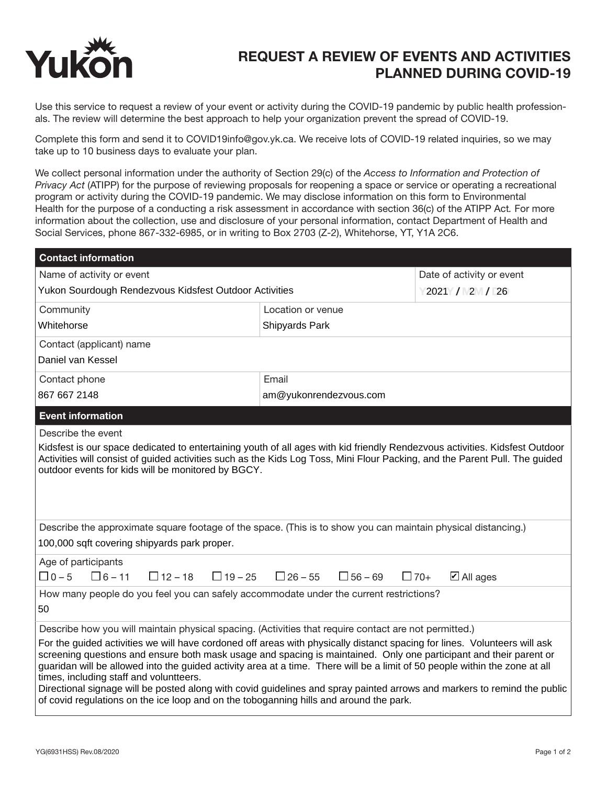

## REQUEST A REVIEW OF EVENTS AND ACTIVITIES PLANNED DURING COVID-19

Use this service to request a review of your event or activity during the COVID-19 pandemic by public health professionals. The review will determine the best approach to help your organization prevent the spread of COVID-19.

Complete this form and send it to COVID19info@gov.yk.ca. We receive lots of COVID-19 related inquiries, so we may take up to 10 business days to evaluate your plan.

We collect personal information under the authority of Section 29(c) of the *Access to Information and Protection of Privacy Act* (ATIPP) for the purpose of reviewing proposals for reopening a space or service or operating a recreational program or activity during the COVID-19 pandemic. We may disclose information on this form to Environmental Health for the purpose of a conducting a risk assessment in accordance with section 36(c) of the ATIPP Act*.* For more information about the collection, use and disclosure of your personal information, contact Department of Health and Social Services, phone 867-332-6985, or in writing to Box 2703 (Z-2), Whitehorse, YT, Y1A 2C6.

| <b>Contact information</b>                                                                                                                                                                                                                                                                                                                                                                                                                                                                                                                                                                                                                      |                                  |                                    |
|-------------------------------------------------------------------------------------------------------------------------------------------------------------------------------------------------------------------------------------------------------------------------------------------------------------------------------------------------------------------------------------------------------------------------------------------------------------------------------------------------------------------------------------------------------------------------------------------------------------------------------------------------|----------------------------------|------------------------------------|
| Name of activity or event                                                                                                                                                                                                                                                                                                                                                                                                                                                                                                                                                                                                                       |                                  | Date of activity or event          |
| Yukon Sourdough Rendezvous Kidsfest Outdoor Activities                                                                                                                                                                                                                                                                                                                                                                                                                                                                                                                                                                                          |                                  | 2021 / 2 / 26                      |
| Community                                                                                                                                                                                                                                                                                                                                                                                                                                                                                                                                                                                                                                       | Location or venue                |                                    |
| Whitehorse                                                                                                                                                                                                                                                                                                                                                                                                                                                                                                                                                                                                                                      | Shipyards Park                   |                                    |
| Contact (applicant) name                                                                                                                                                                                                                                                                                                                                                                                                                                                                                                                                                                                                                        |                                  |                                    |
| Daniel van Kessel                                                                                                                                                                                                                                                                                                                                                                                                                                                                                                                                                                                                                               |                                  |                                    |
| Contact phone                                                                                                                                                                                                                                                                                                                                                                                                                                                                                                                                                                                                                                   | Email                            |                                    |
| 867 667 2148                                                                                                                                                                                                                                                                                                                                                                                                                                                                                                                                                                                                                                    | am@yukonrendezvous.com           |                                    |
| <b>Event information</b>                                                                                                                                                                                                                                                                                                                                                                                                                                                                                                                                                                                                                        |                                  |                                    |
| Describe the event                                                                                                                                                                                                                                                                                                                                                                                                                                                                                                                                                                                                                              |                                  |                                    |
| Kidsfest is our space dedicated to entertaining youth of all ages with kid friendly Rendezvous activities. Kidsfest Outdoor<br>Activities will consist of guided activities such as the Kids Log Toss, Mini Flour Packing, and the Parent Pull. The guided<br>outdoor events for kids will be monitored by BGCY.                                                                                                                                                                                                                                                                                                                                |                                  |                                    |
| Describe the approximate square footage of the space. (This is to show you can maintain physical distancing.)<br>100,000 sqft covering shipyards park proper.                                                                                                                                                                                                                                                                                                                                                                                                                                                                                   |                                  |                                    |
| Age of participants<br>$\Box$ 0 – 5<br>$\Box$ 6 – 11<br>$\Box$ 12 – 18<br>$\Box$ 19 – 25                                                                                                                                                                                                                                                                                                                                                                                                                                                                                                                                                        | $\Box$ 26 – 55<br>$\Box$ 56 – 69 | $\Box$ 70+<br>$\boxtimes$ All ages |
| How many people do you feel you can safely accommodate under the current restrictions?<br>50                                                                                                                                                                                                                                                                                                                                                                                                                                                                                                                                                    |                                  |                                    |
| Describe how you will maintain physical spacing. (Activities that require contact are not permitted.)                                                                                                                                                                                                                                                                                                                                                                                                                                                                                                                                           |                                  |                                    |
| For the guided activities we will have cordoned off areas with physically distanct spacing for lines. Volunteers will ask<br>screening questions and ensure both mask usage and spacing is maintained. Only one participant and their parent or<br>guaridan will be allowed into the guided activity area at a time. There will be a limit of 50 people within the zone at all<br>times, including staff and voluntteers.<br>Directional signage will be posted along with covid guidelines and spray painted arrows and markers to remind the public<br>of covid regulations on the ice loop and on the toboganning hills and around the park. |                                  |                                    |